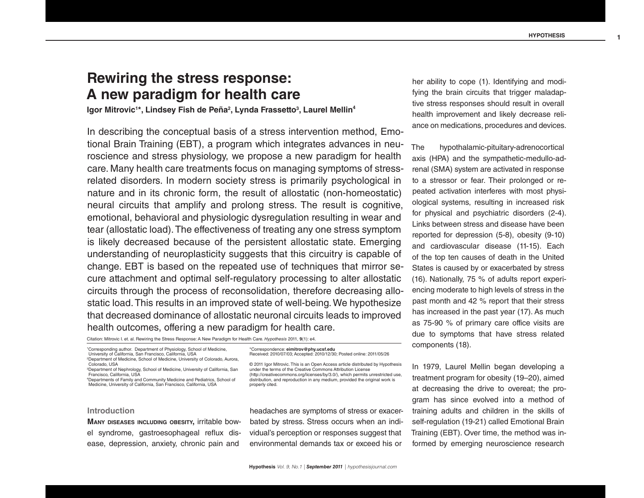# **Rewiring the stress response: A new paradigm for health care**

Igor Mitrovic<sup>1\*</sup>, Lindsey Fish de Peña<sup>2</sup>, Lynda Frassetto<sup>3</sup>, Laurel Mellin<sup>4</sup>

In describing the conceptual basis of a stress intervention method, Emotional Brain Training (EBT), a program which integrates advances in neuroscience and stress physiology, we propose a new paradigm for health care. Many health care treatments focus on managing symptoms of stressrelated disorders. In modern society stress is primarily psychological in nature and in its chronic form, the result of allostatic (non-homeostatic) neural circuits that amplify and prolong stress. The result is cognitive, emotional, behavioral and physiologic dysregulation resulting in wear and tear (allostatic load). The effectiveness of treating any one stress symptom is likely decreased because of the persistent allostatic state. Emerging understanding of neuroplasticity suggests that this circuitry is capable of change. EBT is based on the repeated use of techniques that mirror secure attachment and optimal self-regulatory processing to alter allostatic circuits through the process of reconsolidation, therefore decreasing allostatic load. This results in an improved state of well-being. We hypothesize that decreased dominance of allostatic neuronal circuits leads to improved health outcomes, offering a new paradigm for health care.

Citation: Mitrovic I. et. al. Rewiring the Stress Response: A New Paradigm for Health Care. *Hypothesis* 2011, **9**(1): e4.

# **Introduction**

**Many diseases including obesity,** irritable bowel syndrome, gastroesophageal reflux disease, depression, anxiety, chronic pain and

(http://creativecommons.org/licenses/by/3.0/), which permits unrestricted use, distribution, and reproduction in any medium, provided the original work is properly cited.

Received: 2010/07/03; Accepted: 2010/12/30; Posted online: 2011/05/26 © 2011 Igor Mitrovic. This is an Open Access article distributed by Hypothesis under the terms of the Creative Commons Attribution License

\*Correspondence: **eimitrov@phy.ucsf.edu**

headaches are symptoms of stress or exacerbated by stress. Stress occurs when an individual's perception or responses suggest that environmental demands tax or exceed his or

her ability to cope (1). Identifying and modifying the brain circuits that trigger maladaptive stress responses should result in overall health improvement and likely decrease reliance on medications, procedures and devices.

The hypothalamic-pituitary-adrenocortical axis (HPA) and the sympathetic-medullo-adrenal (SMA) system are activated in response to a stressor or fear. Their prolonged or repeated activation interferes with most physiological systems, resulting in increased risk for physical and psychiatric disorders (2-4). Links between stress and disease have been reported for depression (5-8), obesity (9-10) and cardiovascular disease (11-15). Each of the top ten causes of death in the United States is caused by or exacerbated by stress (16). Nationally, 75 % of adults report experiencing moderate to high levels of stress in the past month and 42 % report that their stress has increased in the past year (17). As much as 75-90 % of primary care office visits are due to symptoms that have stress related components (18).

In 1979, Laurel Mellin began developing a treatment program for obesity (19–20), aimed at decreasing the drive to overeat; the program has since evolved into a method of training adults and children in the skills of self-regulation (19-21) called Emotional Brain Training (EBT). Over time, the method was informed by emerging neuroscience research

**Hypothesis** *Vol. 9, No.1 | September 2011 | hypothesisjournal.com*

<sup>1</sup> Corresponding author. Department of Physiology, School of Medicine, University of California, San Francisco, California, USA 2 Department of Medicine, School of Medicine, University of Colorado, Aurora, Colorado, USA

<sup>3</sup> Department of Nephrology, School of Medicine, University of California, San Francisco, California, USA

<sup>4</sup> Departments of Family and Community Medicine and Pediatrics, School of Medicine, University of California, San Francisco, California, USA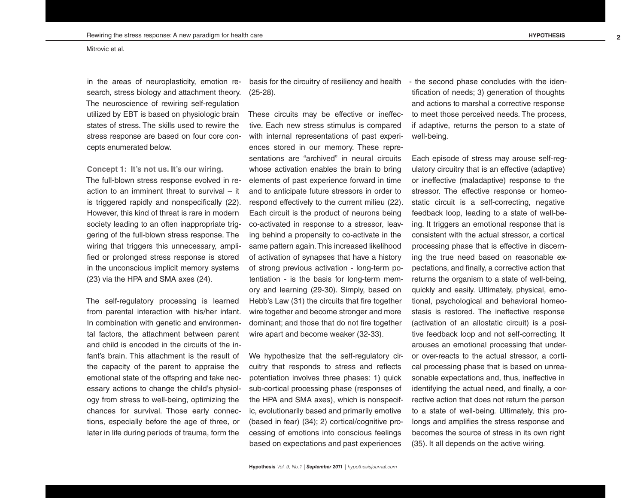in the areas of neuroplasticity, emotion research, stress biology and attachment theory. The neuroscience of rewiring self-regulation utilized by EBT is based on physiologic brain states of stress. The skills used to rewire the stress response are based on four core concepts enumerated below.

**Concept 1: It's not us. It's our wiring.**

The full-blown stress response evolved in reaction to an imminent threat to survival – it is triggered rapidly and nonspecifically (22). However, this kind of threat is rare in modern society leading to an often inappropriate triggering of the full-blown stress response. The wiring that triggers this unnecessary, amplified or prolonged stress response is stored in the unconscious implicit memory systems (23) via the HPA and SMA axes (24).

The self-regulatory processing is learned from parental interaction with his/her infant. In combination with genetic and environmental factors, the attachment between parent and child is encoded in the circuits of the infant's brain. This attachment is the result of the capacity of the parent to appraise the emotional state of the offspring and take necessary actions to change the child's physiology from stress to well-being, optimizing the chances for survival. Those early connections, especially before the age of three, or later in life during periods of trauma, form the

basis for the circuitry of resiliency and health (25-28).

These circuits may be effective or ineffective. Each new stress stimulus is compared with internal representations of past experiences stored in our memory. These representations are "archived" in neural circuits whose activation enables the brain to bring elements of past experience forward in time and to anticipate future stressors in order to respond effectively to the current milieu (22). Each circuit is the product of neurons being co-activated in response to a stressor, leaving behind a propensity to co-activate in the same pattern again. This increased likelihood of activation of synapses that have a history of strong previous activation - long-term potentiation - is the basis for long-term memory and learning (29-30). Simply, based on Hebb's Law (31) the circuits that fire together wire together and become stronger and more dominant; and those that do not fire together wire apart and become weaker (32-33).

We hypothesize that the self-regulatory circuitry that responds to stress and reflects potentiation involves three phases: 1) quick sub-cortical processing phase (responses of the HPA and SMA axes), which is nonspecific, evolutionarily based and primarily emotive (based in fear) (34); 2) cortical/cognitive processing of emotions into conscious feelings based on expectations and past experiences

- the second phase concludes with the identification of needs; 3) generation of thoughts and actions to marshal a corrective response to meet those perceived needs. The process, if adaptive, returns the person to a state of well-being.

Each episode of stress may arouse self-regulatory circuitry that is an effective (adaptive) or ineffective (maladaptive) response to the stressor. The effective response or homeostatic circuit is a self-correcting, negative feedback loop, leading to a state of well-being. It triggers an emotional response that is consistent with the actual stressor, a cortical processing phase that is effective in discerning the true need based on reasonable expectations, and finally, a corrective action that returns the organism to a state of well-being, quickly and easily. Ultimately, physical, emotional, psychological and behavioral homeostasis is restored. The ineffective response (activation of an allostatic circuit) is a positive feedback loop and not self-correcting. It arouses an emotional processing that underor over-reacts to the actual stressor, a cortical processing phase that is based on unreasonable expectations and, thus, ineffective in identifying the actual need, and finally, a corrective action that does not return the person to a state of well-being. Ultimately, this prolongs and amplifies the stress response and becomes the source of stress in its own right (35). It all depends on the active wiring.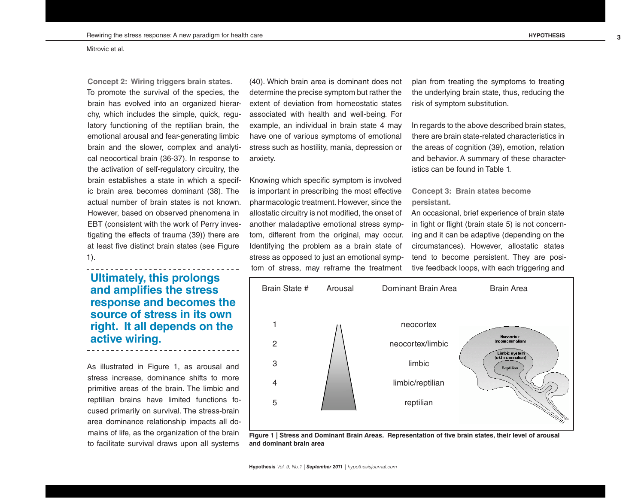**Concept 2: Wiring triggers brain states.**  To promote the survival of the species, the brain has evolved into an organized hierarchy, which includes the simple, quick, regulatory functioning of the reptilian brain, the emotional arousal and fear-generating limbic brain and the slower, complex and analytical neocortical brain (36-37). In response to the activation of self-regulatory circuitry, the brain establishes a state in which a specific brain area becomes dominant (38). The actual number of brain states is not known. However, based on observed phenomena in EBT (consistent with the work of Perry investigating the effects of trauma (39)) there are at least five distinct brain states (see Figure 1).

**Ultimately, this prolongs and amplifies the stress response and becomes the source of stress in its own right. It all depends on the active wiring.**

As illustrated in Figure 1, as arousal and stress increase, dominance shifts to more primitive areas of the brain. The limbic and reptilian brains have limited functions focused primarily on survival. The stress-brain area dominance relationship impacts all domains of life, as the organization of the brain to facilitate survival draws upon all systems

(40). Which brain area is dominant does not determine the precise symptom but rather the extent of deviation from homeostatic states associated with health and well-being. For example, an individual in brain state 4 may have one of various symptoms of emotional stress such as hostility, mania, depression or anxiety.

Knowing which specific symptom is involved is important in prescribing the most effective pharmacologic treatment. However, since the allostatic circuitry is not modified, the onset of another maladaptive emotional stress symptom, different from the original, may occur. Identifying the problem as a brain state of stress as opposed to just an emotional symptom of stress, may reframe the treatment

plan from treating the symptoms to treating the underlying brain state, thus, reducing the risk of symptom substitution.

In regards to the above described brain states, there are brain state-related characteristics in the areas of cognition (39), emotion, relation and behavior. A summary of these characteristics can be found in Table 1.

# **Concept 3: Brain states become persistant.**

An occasional, brief experience of brain state in fight or flight (brain state 5) is not concerning and it can be adaptive (depending on the circumstances). However, allostatic states tend to become persistent. They are positive feedback loops, with each triggering and



**Figure 1 | Stress and Dominant Brain Areas. Representation of five brain states, their level of arousal and dominant brain area**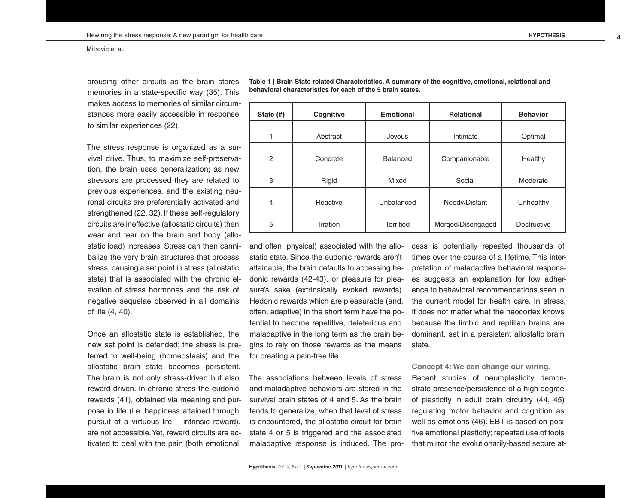arousing other circuits as the brain stores memories in a state-specific way (35). This makes access to memories of similar circumstances more easily accessible in response to similar experiences (22).

The stress response is organized as a survival drive. Thus, to maximize self-preservation, the brain uses generalization; as new stressors are processed they are related to previous experiences, and the existing neuronal circuits are preferentially activated and strengthened (22, 32). If these self-regulatory circuits are ineffective (allostatic circuits) then wear and tear on the brain and body (allostatic load) increases. Stress can then cannibalize the very brain structures that process stress, causing a set point in stress (allostatic state) that is associated with the chronic elevation of stress hormones and the risk of negative sequelae observed in all domains of life (4, 40).

Once an allostatic state is established, the new set point is defended; the stress is preferred to well-being (homeostasis) and the allostatic brain state becomes persistent. The brain is not only stress-driven but also reward-driven. In chronic stress the eudonic rewards (41), obtained via meaning and purpose in life (i.e. happiness attained through pursuit of a virtuous life – intrinsic reward), are not accessible. Yet, reward circuits are activated to deal with the pain (both emotional

**State (#) Cognitive | Emotional | Relational | Behavior** 1 | Abstract | Joyous | Intimate | Optimal 2 Concrete Balanced Companionable Healthy 3 | Rigid | Mixed | Social | Moderate 4 | Reactive | Unbalanced | Needy/Distant | Unhealthy 5 Irration Terrified Merged/Disengaged Destructive

**Table 1 | Brain State-related Characteristics. A summary of the cognitive, emotional, relational and behavioral characteristics for each of the 5 brain states.**

and often, physical) associated with the allostatic state. Since the eudonic rewards aren't attainable, the brain defaults to accessing hedonic rewards (42-43), or pleasure for pleasure's sake (extrinsically evoked rewards). Hedonic rewards which are pleasurable (and, often, adaptive) in the short term have the potential to become repetitive, deleterious and maladaptive in the long term as the brain begins to rely on those rewards as the means for creating a pain-free life.

The associations between levels of stress and maladaptive behaviors are stored in the survival brain states of 4 and 5. As the brain tends to generalize, when that level of stress is encountered, the allostatic circuit for brain state 4 or 5 is triggered and the associated maladaptive response is induced. The process is potentially repeated thousands of times over the course of a lifetime. This interpretation of maladaptive behavioral responses suggests an explanation for low adherence to behavioral recommendations seen in the current model for health care. In stress, it does not matter what the neocortex knows because the limbic and reptilian brains are dominant, set in a persistent allostatic brain state.

**Concept 4: We can change our wiring.** Recent studies of neuroplasticity demonstrate presence/persistence of a high degree of plasticity in adult brain circuitry (44, 45) regulating motor behavior and cognition as well as emotions (46). EBT is based on positive emotional plasticity; repeated use of tools that mirror the evolutionarily-based secure at-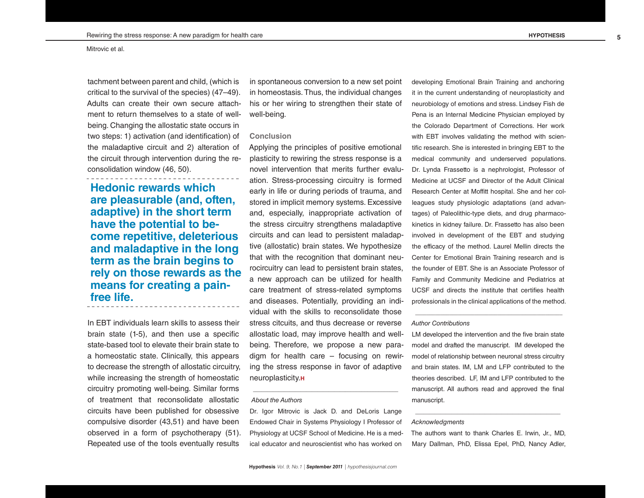tachment between parent and child, (which is critical to the survival of the species) (47–49). Adults can create their own secure attachment to return themselves to a state of wellbeing. Changing the allostatic state occurs in two steps: 1) activation (and identification) of the maladaptive circuit and 2) alteration of the circuit through intervention during the reconsolidation window (46, 50).

**Hedonic rewards which are pleasurable (and, often, adaptive) in the short term have the potential to become repetitive, deleterious and maladaptive in the long term as the brain begins to rely on those rewards as the means for creating a painfree life.**

In EBT individuals learn skills to assess their brain state (1-5), and then use a specific state-based tool to elevate their brain state to a homeostatic state. Clinically, this appears to decrease the strength of allostatic circuitry, while increasing the strength of homeostatic circuitry promoting well-being. Similar forms of treatment that reconsolidate allostatic circuits have been published for obsessive compulsive disorder (43,51) and have been observed in a form of psychotherapy (51). Repeated use of the tools eventually results

in spontaneous conversion to a new set point in homeostasis. Thus, the individual changes his or her wiring to strengthen their state of well-being.

# **Conclusion**

Applying the principles of positive emotional plasticity to rewiring the stress response is a novel intervention that merits further evaluation. Stress-processing circuitry is formed early in life or during periods of trauma, and stored in implicit memory systems. Excessive and, especially, inappropriate activation of the stress circuitry strengthens maladaptive circuits and can lead to persistent maladaptive (allostatic) brain states. We hypothesize that with the recognition that dominant neurocircuitry can lead to persistent brain states, a new approach can be utilized for health care treatment of stress-related symptoms and diseases. Potentially, providing an individual with the skills to reconsolidate those stress citcuits, and thus decrease or reverse allostatic load, may improve health and wellbeing. Therefore, we propose a new paradigm for health care – focusing on rewiring the stress response in favor of adaptive neuroplasticity.**H**

#### *About the Authors*

Dr. Igor Mitrovic is Jack D. and DeLoris Lange Endowed Chair in Systems Physiology I Professor of Physiology at UCSF School of Medicine. He is a medical educator and neuroscientist who has worked on

**\_\_\_\_\_\_\_\_\_\_\_\_\_\_\_\_\_\_\_\_\_\_\_\_\_\_\_\_\_\_\_\_\_\_\_\_\_\_\_\_\_\_\_\_\_\_\_\_\_\_\_\_**

developing Emotional Brain Training and anchoring it in the current understanding of neuroplasticity and neurobiology of emotions and stress. Lindsey Fish de Pena is an Internal Medicine Physician employed by the Colorado Department of Corrections. Her work with EBT involves validating the method with scientific research. She is interested in bringing EBT to the medical community and underserved populations. Dr. Lynda Frassetto is a nephrologist, Professor of Medicine at UCSF and Director of the Adult Clinical Research Center at Moffitt hospital. She and her colleagues study physiologic adaptations (and advantages) of Paleolithic-type diets, and drug pharmacokinetics in kidney failure. Dr. Frassetto has also been involved in development of the EBT and studying the efficacy of the method. Laurel Mellin directs the Center for Emotional Brain Training research and is the founder of EBT. She is an Associate Professor of Family and Community Medicine and Pediatrics at UCSF and directs the institute that certifies health professionals in the clinical applications of the method.

# *Author Contributions*

LM developed the intervention and the five brain state model and drafted the manuscript. IM developed the model of relationship between neuronal stress circuitry and brain states. IM, LM and LFP contributed to the theories described. LF, IM and LFP contributed to the manuscript. All authors read and approved the final manuscript.

**\_\_\_\_\_\_\_\_\_\_\_\_\_\_\_\_\_\_\_\_\_\_\_\_\_\_\_\_\_\_\_\_\_\_\_\_\_\_\_\_\_\_\_\_\_\_\_\_\_\_\_\_**

#### *Acknowledgments*

The authors want to thank Charles E. Irwin, Jr., MD, Mary Dallman, PhD, Elissa Epel, PhD, Nancy Adler,

**\_\_\_\_\_\_\_\_\_\_\_\_\_\_\_\_\_\_\_\_\_\_\_\_\_\_\_\_\_\_\_\_\_\_\_\_\_\_\_\_\_\_\_\_\_\_\_\_\_\_\_\_**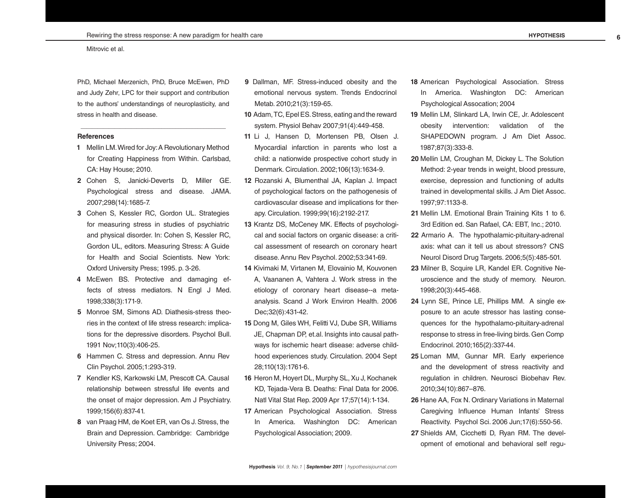PhD, Michael Merzenich, PhD, Bruce McEwen, PhD and Judy Zehr, LPC for their support and contribution to the authors' understandings of neuroplasticity, and stress in health and disease.

**\_\_\_\_\_\_\_\_\_\_\_\_\_\_\_\_\_\_\_\_\_\_\_\_\_\_\_\_\_\_\_\_\_\_\_\_\_\_\_\_\_\_\_\_\_\_\_\_\_\_\_\_**

### **References**

- **1** Mellin LM. Wired for Joy: A Revolutionary Method for Creating Happiness from Within. Carlsbad, CA: Hay House; 2010.
- **2** Cohen S, Janicki-Deverts D, Miller GE. Psychological stress and disease. JAMA. 2007;298(14):1685-7.
- **3** Cohen S, Kessler RC, Gordon UL. Strategies for measuring stress in studies of psychiatric and physical disorder. In: Cohen S, Kessler RC, Gordon UL, editors. Measuring Stress: A Guide for Health and Social Scientists. New York: Oxford University Press; 1995. p. 3-26.
- **4** McEwen BS. Protective and damaging effects of stress mediators. N Engl J Med. 1998;338(3):171-9.
- **5** Monroe SM, Simons AD. Diathesis-stress theories in the context of life stress research: implications for the depressive disorders. Psychol Bull. 1991 Nov;110(3):406-25.
- **6** Hammen C. Stress and depression. Annu Rev Clin Psychol. 2005;1:293-319.
- **7** Kendler KS, Karkowski LM, Prescott CA. Causal relationship between stressful life events and the onset of major depression. Am J Psychiatry. 1999;156(6):837-41.
- **8** van Praag HM, de Koet ER, van Os J. Stress, the Brain and Depression. Cambridge: Cambridge University Press; 2004.
- **9** Dallman, MF. Stress-induced obesity and the emotional nervous system. Trends Endocrinol Metab. 2010;21(3):159-65.
- **10** Adam, TC, Epel ES. Stress, eating and the reward system. Physiol Behav 2007;91(4):449-458.
- **11** Li J, Hansen D, Mortensen PB, Olsen J. Myocardial infarction in parents who lost a child: a nationwide prospective cohort study in Denmark. Circulation. 2002;106(13):1634-9.
- **12** Rozanski A, Blumenthal JA, Kaplan J. Impact of psychological factors on the pathogenesis of cardiovascular disease and implications for therapy. Circulation. 1999;99(16):2192-217.
- **13** Krantz DS, McCeney MK. Effects of psychological and social factors on organic disease: a critical assessment of research on coronary heart disease. Annu Rev Psychol. 2002;53:341-69.
- **14** Kivimaki M, Virtanen M, Elovainio M, Kouvonen A, Vaananen A, Vahtera J. Work stress in the etiology of coronary heart disease--a metaanalysis. Scand J Work Environ Health. 2006 Dec;32(6):431-42.
- **15** Dong M, Giles WH, Felitti VJ, Dube SR, Williams JE, Chapman DP, et.al. Insights into causal pathways for ischemic heart disease: adverse childhood experiences study. Circulation. 2004 Sept 28;110(13):1761-6.
- **16** Heron M, Hoyert DL, Murphy SL, Xu J, Kochanek KD, Tejada-Vera B. Deaths: Final Data for 2006. Natl Vital Stat Rep. 2009 Apr 17;57(14):1-134.
- **17** American Psychological Association. Stress In America. Washington DC: American Psychological Association; 2009.
- **18** American Psychological Association. Stress In America. Washington DC: American Psychological Assocation; 2004
- **19** Mellin LM, Slinkard LA, Irwin CE, Jr. Adolescent obesity intervention: validation of the SHAPEDOWN program. J Am Diet Assoc. 1987;87(3):333-8.
- **20** Mellin LM, Croughan M, Dickey L. The Solution Method: 2-year trends in weight, blood pressure, exercise, depression and functioning of adults trained in developmental skills. J Am Diet Assoc. 1997;97:1133-8.
- **21** Mellin LM. Emotional Brain Training Kits 1 to 6. 3rd Edition ed. San Rafael, CA: EBT, Inc.; 2010.
- **22** Armario A. The hypothalamic-pituitary-adrenal axis: what can it tell us about stressors? CNS Neurol Disord Drug Targets. 2006;5(5):485-501.
- **23** Milner B, Scquire LR, Kandel ER. Cognitive Neuroscience and the study of memory. Neuron. 1998;20(3):445-468.
- **24** Lynn SE, Prince LE, Phillips MM. A single exposure to an acute stressor has lasting consequences for the hypothalamo-pituitary-adrenal response to stress in free-living birds. Gen Comp Endocrinol. 2010;165(2):337-44.
- **25** Loman MM, Gunnar MR. Early experience and the development of stress reactivity and regulation in children. Neurosci Biobehav Rev. 2010;34(10):867–876.
- **26** Hane AA, Fox N. Ordinary Variations in Maternal Caregiving Influence Human Infants' Stress Reactivity. Psychol Sci. 2006 Jun;17(6):550-56.
- **27** Shields AM, Cicchetti D, Ryan RM. The development of emotional and behavioral self regu-